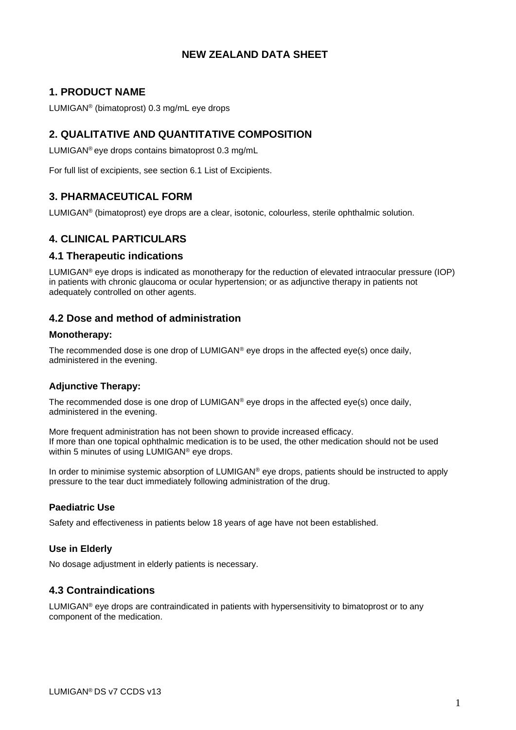# **NEW ZEALAND DATA SHEET**

# **1. PRODUCT NAME**

LUMIGAN® (bimatoprost) 0.3 mg/mL eye drops

# **2. QUALITATIVE AND QUANTITATIVE COMPOSITION**

LUMIGAN® eye drops contains bimatoprost 0.3 mg/mL

For full list of excipients, see section 6.1 List of Excipients.

# **3. PHARMACEUTICAL FORM**

LUMIGAN® (bimatoprost) eye drops are a clear, isotonic, colourless, sterile ophthalmic solution.

# **4. CLINICAL PARTICULARS**

## **4.1 Therapeutic indications**

LUMIGAN<sup>®</sup> eve drops is indicated as monotherapy for the reduction of elevated intraocular pressure (IOP) in patients with chronic glaucoma or ocular hypertension; or as adjunctive therapy in patients not adequately controlled on other agents.

# **4.2 Dose and method of administration**

### **Monotherapy:**

The recommended dose is one drop of  $LUMIGAN^{\circledcirc}$  eye drops in the affected eye(s) once daily, administered in the evening.

## **Adjunctive Therapy:**

The recommended dose is one drop of LUMIGAN<sup>®</sup> eye drops in the affected eye(s) once daily, administered in the evening.

More frequent administration has not been shown to provide increased efficacy. If more than one topical ophthalmic medication is to be used, the other medication should not be used within 5 minutes of using LUMIGAN® eye drops.

In order to minimise systemic absorption of LUMIGAN® eye drops, patients should be instructed to apply pressure to the tear duct immediately following administration of the drug.

## **Paediatric Use**

Safety and effectiveness in patients below 18 years of age have not been established.

## **Use in Elderly**

No dosage adjustment in elderly patients is necessary.

# **4.3 Contraindications**

LUMIGA $N^{\circ}$  eye drops are contraindicated in patients with hypersensitivity to bimatoprost or to any component of the medication.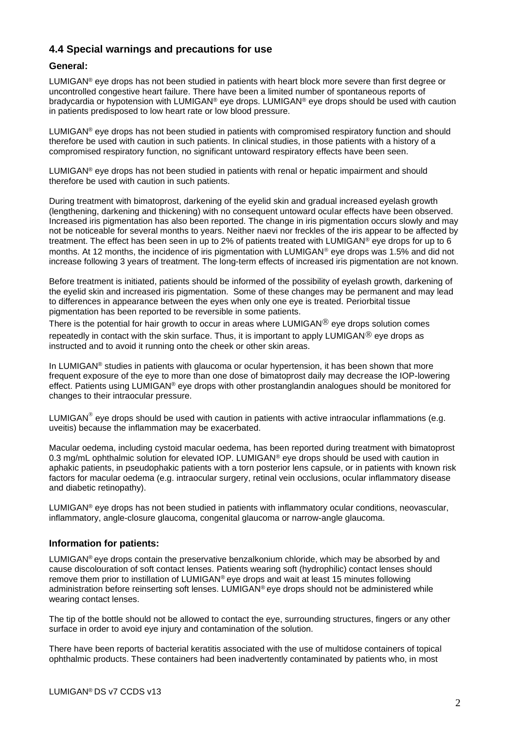# **4.4 Special warnings and precautions for use**

## **General:**

LUMIGAN® eye drops has not been studied in patients with heart block more severe than first degree or uncontrolled congestive heart failure. There have been a limited number of spontaneous reports of bradycardia or hypotension with LUMIGAN® eye drops. LUMIGAN® eye drops should be used with caution in patients predisposed to low heart rate or low blood pressure.

LUMIGAN<sup>®</sup> eve drops has not been studied in patients with compromised respiratory function and should therefore be used with caution in such patients. In clinical studies, in those patients with a history of a compromised respiratory function, no significant untoward respiratory effects have been seen.

 $LUMIGAN<sup>®</sup>$  eye drops has not been studied in patients with renal or hepatic impairment and should therefore be used with caution in such patients.

During treatment with bimatoprost, darkening of the eyelid skin and gradual increased eyelash growth (lengthening, darkening and thickening) with no consequent untoward ocular effects have been observed. Increased iris pigmentation has also been reported. The change in iris pigmentation occurs slowly and may not be noticeable for several months to years. Neither naevi nor freckles of the iris appear to be affected by treatment. The effect has been seen in up to 2% of patients treated with LUMIGAN® eye drops for up to 6 months. At 12 months, the incidence of iris pigmentation with LUMIGAN<sup>®</sup> eye drops was 1.5% and did not increase following 3 years of treatment. The long-term effects of increased iris pigmentation are not known.

Before treatment is initiated, patients should be informed of the possibility of eyelash growth, darkening of the eyelid skin and increased iris pigmentation. Some of these changes may be permanent and may lead to differences in appearance between the eyes when only one eye is treated. Periorbital tissue pigmentation has been reported to be reversible in some patients.

There is the potential for hair growth to occur in areas where LUMIGAN $\mathcal D$  eye drops solution comes repeatedly in contact with the skin surface. Thus, it is important to apply LUMIGAN $\mathcal D$  eye drops as instructed and to avoid it running onto the cheek or other skin areas.

In LUMIGAN<sup>®</sup> studies in patients with glaucoma or ocular hypertension, it has been shown that more frequent exposure of the eye to more than one dose of bimatoprost daily may decrease the IOP-lowering effect. Patients using LUMIGAN® eye drops with other prostanglandin analogues should be monitored for changes to their intraocular pressure.

LUMIGAN<sup>®</sup> eye drops should be used with caution in patients with active intraocular inflammations (e.g. uveitis) because the inflammation may be exacerbated.

Macular oedema, including cystoid macular oedema, has been reported during treatment with bimatoprost 0.3 mg/mL ophthalmic solution for elevated IOP. LUMIGAN<sup>®</sup> eye drops should be used with caution in aphakic patients, in pseudophakic patients with a torn posterior lens capsule, or in patients with known risk factors for macular oedema (e.g. intraocular surgery, retinal vein occlusions, ocular inflammatory disease and diabetic retinopathy).

LUMIGAN® eye drops has not been studied in patients with inflammatory ocular conditions, neovascular, inflammatory, angle-closure glaucoma, congenital glaucoma or narrow-angle glaucoma.

## **Information for patients:**

LUMIGA $N^{\circ}$  eye drops contain the preservative benzalkonium chloride, which may be absorbed by and cause discolouration of soft contact lenses. Patients wearing soft (hydrophilic) contact lenses should remove them prior to instillation of LUMIGAN® eye drops and wait at least 15 minutes following administration before reinserting soft lenses. LUMIGAN® eye drops should not be administered while wearing contact lenses.

The tip of the bottle should not be allowed to contact the eye, surrounding structures, fingers or any other surface in order to avoid eye injury and contamination of the solution.

There have been reports of bacterial keratitis associated with the use of multidose containers of topical ophthalmic products. These containers had been inadvertently contaminated by patients who, in most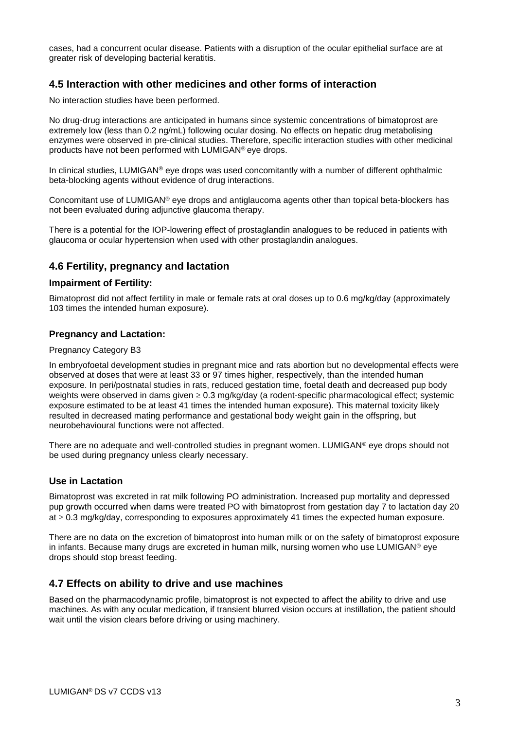cases, had a concurrent ocular disease. Patients with a disruption of the ocular epithelial surface are at greater risk of developing bacterial keratitis.

# **4.5 Interaction with other medicines and other forms of interaction**

No interaction studies have been performed.

No drug-drug interactions are anticipated in humans since systemic concentrations of bimatoprost are extremely low (less than 0.2 ng/mL) following ocular dosing. No effects on hepatic drug metabolising enzymes were observed in pre-clinical studies. Therefore, specific interaction studies with other medicinal products have not been performed with LUMIGAN® eye drops.

In clinical studies, LUMIGAN® eye drops was used concomitantly with a number of different ophthalmic beta-blocking agents without evidence of drug interactions.

Concomitant use of LUMIGAN® eye drops and antiglaucoma agents other than topical beta-blockers has not been evaluated during adjunctive glaucoma therapy.

There is a potential for the IOP-lowering effect of prostaglandin analogues to be reduced in patients with glaucoma or ocular hypertension when used with other prostaglandin analogues.

## **4.6 Fertility, pregnancy and lactation**

#### **Impairment of Fertility:**

Bimatoprost did not affect fertility in male or female rats at oral doses up to 0.6 mg/kg/day (approximately 103 times the intended human exposure).

#### **Pregnancy and Lactation:**

#### Pregnancy Category B3

In embryofoetal development studies in pregnant mice and rats abortion but no developmental effects were observed at doses that were at least 33 or 97 times higher, respectively, than the intended human exposure. In peri/postnatal studies in rats, reduced gestation time, foetal death and decreased pup body weights were observed in dams given  $\geq 0.3$  mg/kg/day (a rodent-specific pharmacological effect; systemic exposure estimated to be at least 41 times the intended human exposure). This maternal toxicity likely resulted in decreased mating performance and gestational body weight gain in the offspring, but neurobehavioural functions were not affected.

There are no adequate and well-controlled studies in pregnant women. LUMIGAN® eye drops should not be used during pregnancy unless clearly necessary.

#### **Use in Lactation**

Bimatoprost was excreted in rat milk following PO administration. Increased pup mortality and depressed pup growth occurred when dams were treated PO with bimatoprost from gestation day 7 to lactation day 20  $a \geq 0.3$  mg/kg/day, corresponding to exposures approximately 41 times the expected human exposure.

There are no data on the excretion of bimatoprost into human milk or on the safety of bimatoprost exposure in infants. Because many drugs are excreted in human milk, nursing women who use LUMIGAN® eye drops should stop breast feeding.

## **4.7 Effects on ability to drive and use machines**

Based on the pharmacodynamic profile, bimatoprost is not expected to affect the ability to drive and use machines. As with any ocular medication, if transient blurred vision occurs at instillation, the patient should wait until the vision clears before driving or using machinery.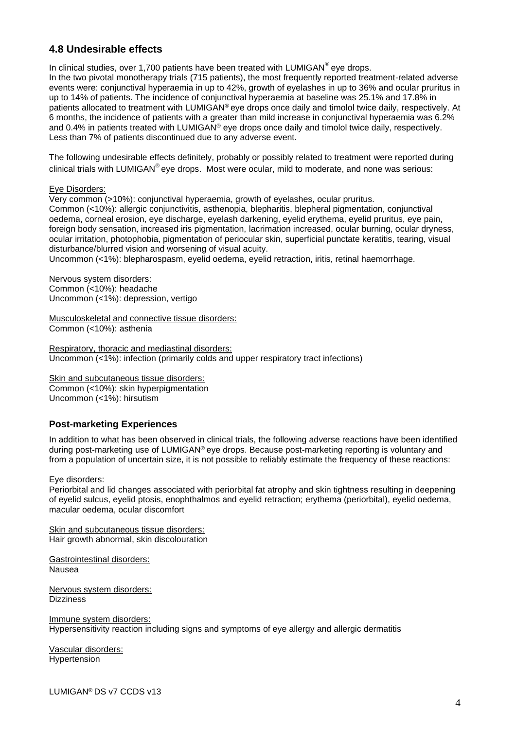# **4.8 Undesirable effects**

In clinical studies, over 1,700 patients have been treated with LUMIGAN $^{\circ}$  eye drops.

In the two pivotal monotherapy trials (715 patients), the most frequently reported treatment-related adverse events were: conjunctival hyperaemia in up to 42%, growth of eyelashes in up to 36% and ocular pruritus in up to 14% of patients. The incidence of conjunctival hyperaemia at baseline was 25.1% and 17.8% in patients allocated to treatment with LUMIGAN® eye drops once daily and timolol twice daily, respectively. At 6 months, the incidence of patients with a greater than mild increase in conjunctival hyperaemia was 6.2% and 0.4% in patients treated with LUMIGAN® eye drops once daily and timolol twice daily, respectively. Less than 7% of patients discontinued due to any adverse event.

The following undesirable effects definitely, probably or possibly related to treatment were reported during clinical trials with LUMIGAN® eye drops. Most were ocular, mild to moderate, and none was serious:

#### Eye Disorders:

Very common (>10%): conjunctival hyperaemia, growth of eyelashes, ocular pruritus. Common (<10%): allergic conjunctivitis, asthenopia, blepharitis, blepheral pigmentation, conjunctival oedema, corneal erosion, eye discharge, eyelash darkening, eyelid erythema, eyelid pruritus, eye pain, foreign body sensation, increased iris pigmentation, lacrimation increased, ocular burning, ocular dryness, ocular irritation, photophobia, pigmentation of periocular skin, superficial punctate keratitis, tearing, visual disturbance/blurred vision and worsening of visual acuity.

Uncommon (<1%): blepharospasm, eyelid oedema, eyelid retraction, iritis, retinal haemorrhage.

Nervous system disorders: Common (<10%): headache Uncommon (<1%): depression, vertigo

Musculoskeletal and connective tissue disorders: Common (<10%): asthenia

Respiratory, thoracic and mediastinal disorders: Uncommon (<1%): infection (primarily colds and upper respiratory tract infections)

Skin and subcutaneous tissue disorders: Common (<10%): skin hyperpigmentation Uncommon (<1%): hirsutism

#### **Post-marketing Experiences**

In addition to what has been observed in clinical trials, the following adverse reactions have been identified during post-marketing use of LUMIGAN® eye drops. Because post-marketing reporting is voluntary and from a population of uncertain size, it is not possible to reliably estimate the frequency of these reactions:

#### Eye disorders:

Periorbital and lid changes associated with periorbital fat atrophy and skin tightness resulting in deepening of eyelid sulcus, eyelid ptosis, enophthalmos and eyelid retraction; erythema (periorbital), eyelid oedema, macular oedema, ocular discomfort

Skin and subcutaneous tissue disorders: Hair growth abnormal, skin discolouration

Gastrointestinal disorders: Nausea

Nervous system disorders: **Dizziness** 

Immune system disorders: Hypersensitivity reaction including signs and symptoms of eye allergy and allergic dermatitis

Vascular disorders: Hypertension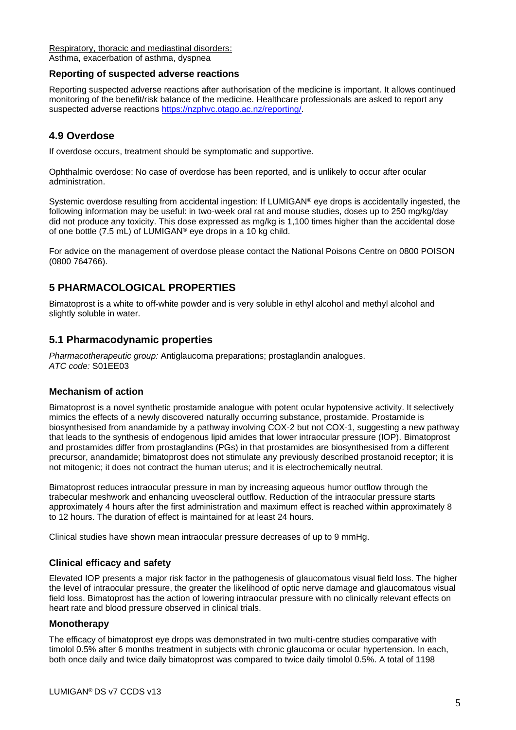[Respiratory, thoracic and mediastinal disorders:](javascript:%20OpenTerm%20() Asthma, exacerbation of asthma, dyspnea

#### **Reporting of suspected adverse reactions**

Reporting suspected adverse reactions after authorisation of the medicine is important. It allows continued monitoring of the benefit/risk balance of the medicine. Healthcare professionals are asked to report any suspected adverse reactions [https://nzphvc.otago.ac.nz/reporting/.](https://nzphvc.otago.ac.nz/reporting/)

# **4.9 Overdose**

If overdose occurs, treatment should be symptomatic and supportive.

Ophthalmic overdose: No case of overdose has been reported, and is unlikely to occur after ocular administration.

Systemic overdose resulting from accidental ingestion: If LUMIGAN® eye drops is accidentally ingested, the following information may be useful: in two-week oral rat and mouse studies, doses up to 250 mg/kg/day did not produce any toxicity. This dose expressed as mg/kg is 1,100 times higher than the accidental dose of one bottle (7.5 mL) of LUMIGAN® eye drops in a 10 kg child.

For advice on the management of overdose please contact the National Poisons Centre on 0800 POISON (0800 764766).

# **5 PHARMACOLOGICAL PROPERTIES**

Bimatoprost is a white to off-white powder and is very soluble in ethyl alcohol and methyl alcohol and slightly soluble in water.

## **5.1 Pharmacodynamic properties**

*Pharmacotherapeutic group:* Antiglaucoma preparations; prostaglandin analogues. *ATC code:* S01EE03

#### **Mechanism of action**

Bimatoprost is a novel synthetic prostamide analogue with potent ocular hypotensive activity. It selectively mimics the effects of a newly discovered naturally occurring substance, prostamide. Prostamide is biosynthesised from anandamide by a pathway involving COX-2 but not COX-1, suggesting a new pathway that leads to the synthesis of endogenous lipid amides that lower intraocular pressure (IOP). Bimatoprost and prostamides differ from prostaglandins (PGs) in that prostamides are biosynthesised from a different precursor, anandamide; bimatoprost does not stimulate any previously described prostanoid receptor; it is not mitogenic; it does not contract the human uterus; and it is electrochemically neutral.

Bimatoprost reduces intraocular pressure in man by increasing aqueous humor outflow through the trabecular meshwork and enhancing uveoscleral outflow. Reduction of the intraocular pressure starts approximately 4 hours after the first administration and maximum effect is reached within approximately 8 to 12 hours. The duration of effect is maintained for at least 24 hours.

Clinical studies have shown mean intraocular pressure decreases of up to 9 mmHg.

## **Clinical efficacy and safety**

Elevated IOP presents a major risk factor in the pathogenesis of glaucomatous visual field loss. The higher the level of intraocular pressure, the greater the likelihood of optic nerve damage and glaucomatous visual field loss. Bimatoprost has the action of lowering intraocular pressure with no clinically relevant effects on heart rate and blood pressure observed in clinical trials.

#### **Monotherapy**

The efficacy of bimatoprost eye drops was demonstrated in two multi-centre studies comparative with timolol 0.5% after 6 months treatment in subjects with chronic glaucoma or ocular hypertension. In each, both once daily and twice daily bimatoprost was compared to twice daily timolol 0.5%. A total of 1198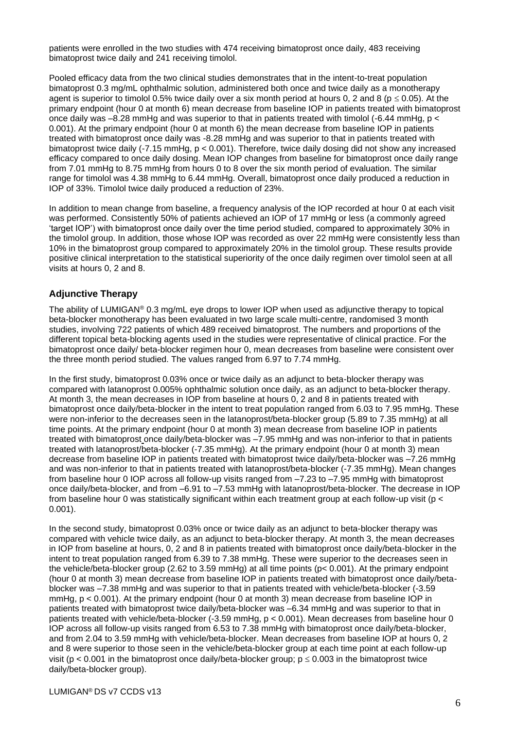patients were enrolled in the two studies with 474 receiving bimatoprost once daily, 483 receiving bimatoprost twice daily and 241 receiving timolol.

Pooled efficacy data from the two clinical studies demonstrates that in the intent-to-treat population bimatoprost 0.3 mg/mL ophthalmic solution, administered both once and twice daily as a monotherapy agent is superior to timolol 0.5% twice daily over a six month period at hours 0, 2 and 8 ( $p \le 0.05$ ). At the primary endpoint (hour 0 at month 6) mean decrease from baseline IOP in patients treated with bimatoprost once daily was –8.28 mmHg and was superior to that in patients treated with timolol (-6.44 mmHg, p < 0.001). At the primary endpoint (hour 0 at month 6) the mean decrease from baseline IOP in patients treated with bimatoprost once daily was -8.28 mmHg and was superior to that in patients treated with bimatoprost twice daily (-7.15 mmHg, p < 0.001). Therefore, twice daily dosing did not show any increased efficacy compared to once daily dosing. Mean IOP changes from baseline for bimatoprost once daily range from 7.01 mmHg to 8.75 mmHg from hours 0 to 8 over the six month period of evaluation. The similar range for timolol was 4.38 mmHg to 6.44 mmHg. Overall, bimatoprost once daily produced a reduction in IOP of 33%. Timolol twice daily produced a reduction of 23%.

In addition to mean change from baseline, a frequency analysis of the IOP recorded at hour 0 at each visit was performed. Consistently 50% of patients achieved an IOP of 17 mmHg or less (a commonly agreed 'target IOP') with bimatoprost once daily over the time period studied, compared to approximately 30% in the timolol group. In addition, those whose IOP was recorded as over 22 mmHg were consistently less than 10% in the bimatoprost group compared to approximately 20% in the timolol group. These results provide positive clinical interpretation to the statistical superiority of the once daily regimen over timolol seen at all visits at hours 0, 2 and 8.

## **Adjunctive Therapy**

The ability of LUMIGAN® 0.3 mg/mL eye drops to lower IOP when used as adjunctive therapy to topical beta-blocker monotherapy has been evaluated in two large scale multi-centre, randomised 3 month studies, involving 722 patients of which 489 received bimatoprost. The numbers and proportions of the different topical beta-blocking agents used in the studies were representative of clinical practice. For the bimatoprost once daily/ beta-blocker regimen hour 0, mean decreases from baseline were consistent over the three month period studied. The values ranged from 6.97 to 7.74 mmHg.

In the first study, bimatoprost 0.03% once or twice daily as an adjunct to beta-blocker therapy was compared with latanoprost 0.005% ophthalmic solution once daily, as an adjunct to beta-blocker therapy. At month 3, the mean decreases in IOP from baseline at hours 0, 2 and 8 in patients treated with bimatoprost once daily/beta-blocker in the intent to treat population ranged from 6.03 to 7.95 mmHg. These were non-inferior to the decreases seen in the latanoprost/beta-blocker group (5.89 to 7.35 mmHg) at all time points. At the primary endpoint (hour 0 at month 3) mean decrease from baseline IOP in patients treated with bimatoprost once daily/beta-blocker was –7.95 mmHg and was non-inferior to that in patients treated with latanoprost/beta-blocker (-7.35 mmHg). At the primary endpoint (hour 0 at month 3) mean decrease from baseline IOP in patients treated with bimatoprost twice daily/beta-blocker was –7.26 mmHg and was non-inferior to that in patients treated with latanoprost/beta-blocker (-7.35 mmHg). Mean changes from baseline hour 0 IOP across all follow-up visits ranged from –7.23 to –7.95 mmHg with bimatoprost once daily/beta-blocker, and from –6.91 to –7.53 mmHg with latanoprost/beta-blocker. The decrease in IOP from baseline hour 0 was statistically significant within each treatment group at each follow-up visit (p < 0.001).

In the second study, bimatoprost 0.03% once or twice daily as an adjunct to beta-blocker therapy was compared with vehicle twice daily, as an adjunct to beta-blocker therapy. At month 3, the mean decreases in IOP from baseline at hours, 0, 2 and 8 in patients treated with bimatoprost once daily/beta-blocker in the intent to treat population ranged from 6.39 to 7.38 mmHg. These were superior to the decreases seen in the vehicle/beta-blocker group (2.62 to 3.59 mmHg) at all time points (p< 0.001). At the primary endpoint (hour 0 at month 3) mean decrease from baseline IOP in patients treated with bimatoprost once daily/betablocker was –7.38 mmHg and was superior to that in patients treated with vehicle/beta-blocker (-3.59 mmHg, p < 0.001). At the primary endpoint (hour 0 at month 3) mean decrease from baseline IOP in patients treated with bimatoprost twice daily/beta-blocker was –6.34 mmHg and was superior to that in patients treated with vehicle/beta-blocker (-3.59 mmHg, p < 0.001). Mean decreases from baseline hour 0 IOP across all follow-up visits ranged from 6.53 to 7.38 mmHg with bimatoprost once daily/beta-blocker, and from 2.04 to 3.59 mmHg with vehicle/beta-blocker. Mean decreases from baseline IOP at hours 0, 2 and 8 were superior to those seen in the vehicle/beta-blocker group at each time point at each follow-up visit (p < 0.001 in the bimatoprost once daily/beta-blocker group;  $p \le 0.003$  in the bimatoprost twice daily/beta-blocker group).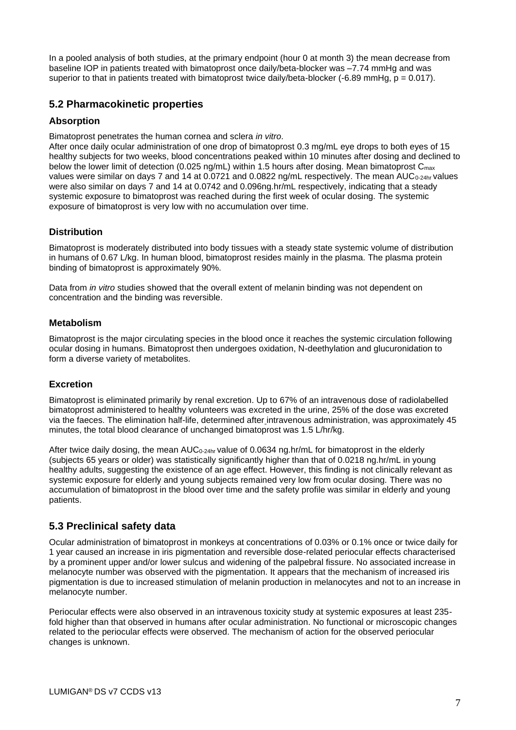In a pooled analysis of both studies, at the primary endpoint (hour 0 at month 3) the mean decrease from baseline IOP in patients treated with bimatoprost once daily/beta-blocker was –7.74 mmHg and was superior to that in patients treated with bimatoprost twice daily/beta-blocker  $(-6.89 \text{ mmHg}, p = 0.017)$ .

# **5.2 Pharmacokinetic properties**

## **Absorption**

Bimatoprost penetrates the human cornea and sclera *in vitro*.

After once daily ocular administration of one drop of bimatoprost 0.3 mg/mL eye drops to both eyes of 15 healthy subjects for two weeks, blood concentrations peaked within 10 minutes after dosing and declined to below the lower limit of detection (0.025 ng/mL) within 1.5 hours after dosing. Mean bimatoprost C<sub>max</sub> values were similar on days 7 and 14 at 0.0721 and 0.0822 ng/mL respectively. The mean AUC<sub>0-24hr</sub> values were also similar on days 7 and 14 at 0.0742 and 0.096ng.hr/mL respectively, indicating that a steady systemic exposure to bimatoprost was reached during the first week of ocular dosing. The systemic exposure of bimatoprost is very low with no accumulation over time.

### **Distribution**

Bimatoprost is moderately distributed into body tissues with a steady state systemic volume of distribution in humans of 0.67 L/kg. In human blood, bimatoprost resides mainly in the plasma. The plasma protein binding of bimatoprost is approximately 90%.

Data from *in vitro* studies showed that the overall extent of melanin binding was not dependent on concentration and the binding was reversible.

### **Metabolism**

Bimatoprost is the major circulating species in the blood once it reaches the systemic circulation following ocular dosing in humans. Bimatoprost then undergoes oxidation, N-deethylation and glucuronidation to form a diverse variety of metabolites.

#### **Excretion**

Bimatoprost is eliminated primarily by renal excretion. Up to 67% of an intravenous dose of radiolabelled bimatoprost administered to healthy volunteers was excreted in the urine, 25% of the dose was excreted via the faeces. The elimination half-life, determined after intravenous administration, was approximately 45 minutes, the total blood clearance of unchanged bimatoprost was 1.5 L/hr/kg.

After twice daily dosing, the mean  $AUC_{0-24hr}$  value of 0.0634 ng.hr/mL for bimatoprost in the elderly (subjects 65 years or older) was statistically significantly higher than that of 0.0218 ng.hr/mL in young healthy adults, suggesting the existence of an age effect. However, this finding is not clinically relevant as systemic exposure for elderly and young subjects remained very low from ocular dosing. There was no accumulation of bimatoprost in the blood over time and the safety profile was similar in elderly and young patients.

## **5.3 Preclinical safety data**

Ocular administration of bimatoprost in monkeys at concentrations of 0.03% or 0.1% once or twice daily for 1 year caused an increase in iris pigmentation and reversible dose-related periocular effects characterised by a prominent upper and/or lower sulcus and widening of the palpebral fissure. No associated increase in melanocyte number was observed with the pigmentation. It appears that the mechanism of increased iris pigmentation is due to increased stimulation of melanin production in melanocytes and not to an increase in melanocyte number.

Periocular effects were also observed in an intravenous toxicity study at systemic exposures at least 235 fold higher than that observed in humans after ocular administration. No functional or microscopic changes related to the periocular effects were observed. The mechanism of action for the observed periocular changes is unknown.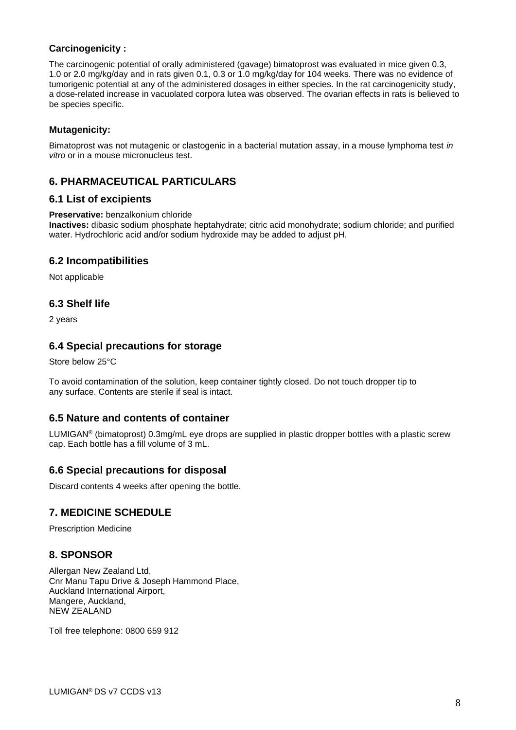## **Carcinogenicity :**

The carcinogenic potential of orally administered (gavage) bimatoprost was evaluated in mice given 0.3, 1.0 or 2.0 mg/kg/day and in rats given 0.1, 0.3 or 1.0 mg/kg/day for 104 weeks. There was no evidence of tumorigenic potential at any of the administered dosages in either species. In the rat carcinogenicity study, a dose-related increase in vacuolated corpora lutea was observed. The ovarian effects in rats is believed to be species specific.

# **Mutagenicity:**

Bimatoprost was not mutagenic or clastogenic in a bacterial mutation assay, in a mouse lymphoma test *in vitro* or in a mouse micronucleus test.

# **6. PHARMACEUTICAL PARTICULARS**

## **6.1 List of excipients**

#### **Preservative:** benzalkonium chloride

**Inactives:** dibasic sodium phosphate heptahydrate; citric acid monohydrate; sodium chloride; and purified water. Hydrochloric acid and/or sodium hydroxide may be added to adjust pH.

## **6.2 Incompatibilities**

Not applicable

# **6.3 Shelf life**

2 years

# **6.4 Special precautions for storage**

Store below 25°C

To avoid contamination of the solution, keep container tightly closed. Do not touch dropper tip to any surface. Contents are sterile if seal is intact.

# **6.5 Nature and contents of container**

LUMIGAN<sup>®</sup> (bimatoprost) 0.3mg/mL eye drops are supplied in plastic dropper bottles with a plastic screw cap. Each bottle has a fill volume of 3 mL.

## **6.6 Special precautions for disposal**

Discard contents 4 weeks after opening the bottle.

# **7. MEDICINE SCHEDULE**

Prescription Medicine

# **8. SPONSOR**

Allergan New Zealand Ltd, Cnr Manu Tapu Drive & Joseph Hammond Place, Auckland International Airport, Mangere, Auckland, NEW ZEALAND

Toll free telephone: 0800 659 912